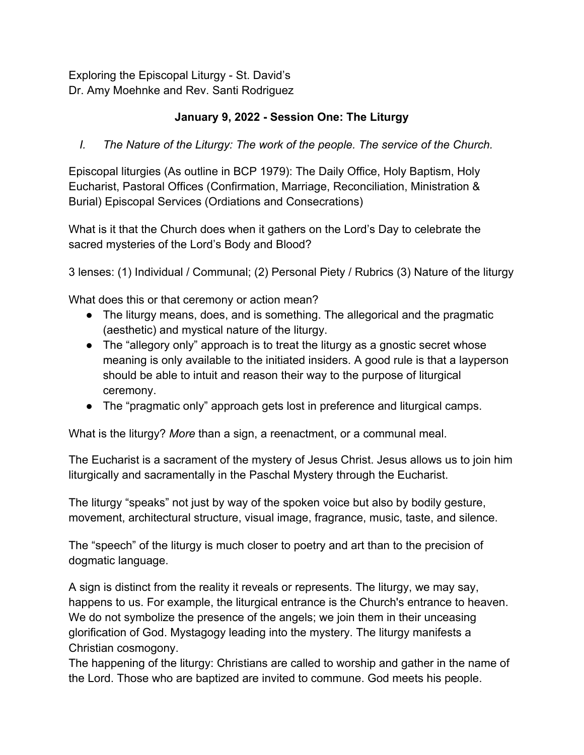Exploring the Episcopal Liturgy - St. David's Dr. Amy Moehnke and Rev. Santi Rodriguez

## **January 9, 2022 - Session One: The Liturgy**

*I. The Nature of the Liturgy: The work of the people. The service of the Church.*

Episcopal liturgies (As outline in BCP 1979): The Daily Office, Holy Baptism, Holy Eucharist, Pastoral Offices (Confirmation, Marriage, Reconciliation, Ministration & Burial) Episcopal Services (Ordiations and Consecrations)

What is it that the Church does when it gathers on the Lord's Day to celebrate the sacred mysteries of the Lord's Body and Blood?

3 lenses: (1) Individual / Communal; (2) Personal Piety / Rubrics (3) Nature of the liturgy

What does this or that ceremony or action mean?

- The liturgy means, does, and is something. The allegorical and the pragmatic (aesthetic) and mystical nature of the liturgy.
- The "allegory only" approach is to treat the liturgy as a gnostic secret whose meaning is only available to the initiated insiders. A good rule is that a layperson should be able to intuit and reason their way to the purpose of liturgical ceremony.
- The "pragmatic only" approach gets lost in preference and liturgical camps.

What is the liturgy? *More* than a sign, a reenactment, or a communal meal.

The Eucharist is a sacrament of the mystery of Jesus Christ. Jesus allows us to join him liturgically and sacramentally in the Paschal Mystery through the Eucharist.

The liturgy "speaks" not just by way of the spoken voice but also by bodily gesture, movement, architectural structure, visual image, fragrance, music, taste, and silence.

The "speech" of the liturgy is much closer to poetry and art than to the precision of dogmatic language.

A sign is distinct from the reality it reveals or represents. The liturgy, we may say, happens to us. For example, the liturgical entrance is the Church's entrance to heaven. We do not symbolize the presence of the angels; we join them in their unceasing glorification of God. Mystagogy leading into the mystery. The liturgy manifests a Christian cosmogony.

The happening of the liturgy: Christians are called to worship and gather in the name of the Lord. Those who are baptized are invited to commune. God meets his people.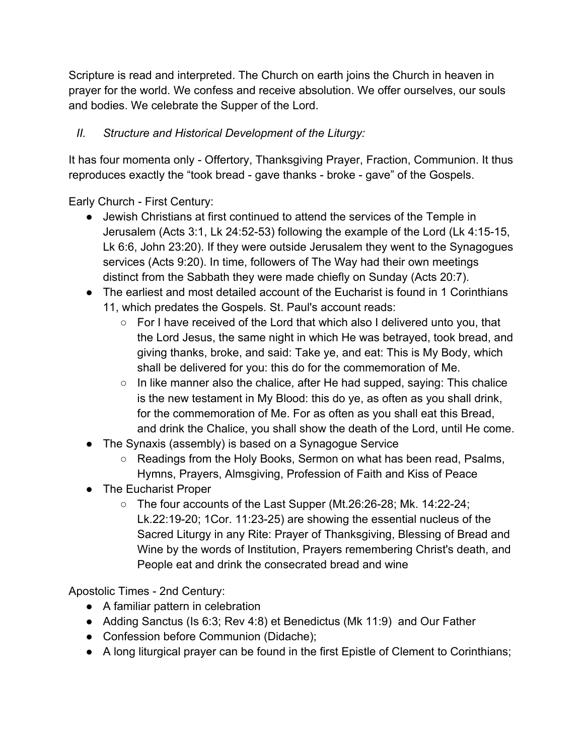Scripture is read and interpreted. The Church on earth joins the Church in heaven in prayer for the world. We confess and receive absolution. We offer ourselves, our souls and bodies. We celebrate the Supper of the Lord.

## *II. Structure and Historical Development of the Liturgy:*

It has four momenta only - Offertory, Thanksgiving Prayer, Fraction, Communion. It thus reproduces exactly the "took bread - gave thanks - broke - gave" of the Gospels.

Early Church - First Century:

- Jewish Christians at first continued to attend the services of the Temple in Jerusalem (Acts 3:1, Lk 24:52-53) following the example of the Lord (Lk 4:15-15, Lk 6:6, John 23:20). If they were outside Jerusalem they went to the Synagogues services (Acts 9:20). In time, followers of The Way had their own meetings distinct from the Sabbath they were made chiefly on Sunday (Acts 20:7).
- The earliest and most detailed account of the Eucharist is found in 1 Corinthians 11, which predates the Gospels. St. Paul's account reads:
	- For I have received of the Lord that which also I delivered unto you, that the Lord Jesus, the same night in which He was betrayed, took bread, and giving thanks, broke, and said: Take ye, and eat: This is My Body, which shall be delivered for you: this do for the commemoration of Me.
	- In like manner also the chalice, after He had supped, saying: This chalice is the new testament in My Blood: this do ye, as often as you shall drink, for the commemoration of Me. For as often as you shall eat this Bread, and drink the Chalice, you shall show the death of the Lord, until He come.
- The Synaxis (assembly) is based on a Synagogue Service
	- $\circ$  Readings from the Holy Books, Sermon on what has been read, Psalms, Hymns, Prayers, Almsgiving, Profession of Faith and Kiss of Peace
- The Eucharist Proper
	- The four accounts of the Last Supper (Mt.26:26-28; Mk. 14:22-24; Lk.22:19-20; 1Cor. 11:23-25) are showing the essential nucleus of the Sacred Liturgy in any Rite: Prayer of Thanksgiving, Blessing of Bread and Wine by the words of Institution, Prayers remembering Christ's death, and People eat and drink the consecrated bread and wine

Apostolic Times - 2nd Century:

- A familiar pattern in celebration
- Adding Sanctus (Is 6:3; Rev 4:8) et Benedictus (Mk 11:9) and Our Father
- Confession before Communion (Didache);
- A long liturgical prayer can be found in the first Epistle of Clement to Corinthians;